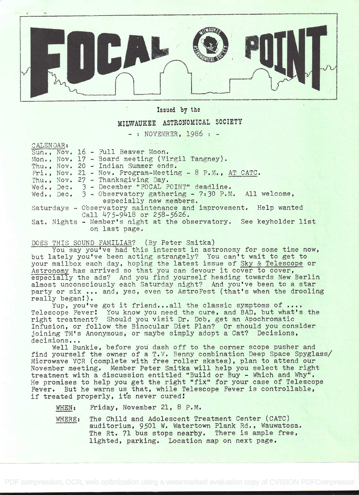

## Issied by the

## MILWAUKEE ASTRONOMICAL SOCIETY

 $-$  : NOVEMBER, 1986  $-$ 

CALENDAR:

|  | Sun., Nov. 16 - Full Beaver Moon.                                   |
|--|---------------------------------------------------------------------|
|  | Mon., Nov. 17 - Board meeting (Virgil Tangney).                     |
|  | Thu., Nov. 20 - Indian Summer ends.                                 |
|  | Fri., Nov. 21 - Nov. Program-Meeting - $8$ P.M., AT CATC.           |
|  | Thu., Nov. 27 - Thanksgiving Day.                                   |
|  | Wed., Dec. 3 - December "FOCAL POINT" deadline.                     |
|  | Wed., Dec. $3$ - Observatory gathering - 7:30 P.M. All welcome,     |
|  | especially new members.                                             |
|  | Saturdays - Observatory maintenance and improvement. Help wanted    |
|  | Call 475-9418 or 258-5626.                                          |
|  | Sat. Nights - Member's night at the observatory. See keyholder list |
|  | on last page.                                                       |

DOES THIS SOUND FAMILIAR? (By Peter Smitka)

You say you've had this interest in astronomy for some time now, but lately you've been acting strangely? You can't wait to get to your mailbox each day, hoping the latest issue of Sky & Telescope or Astronomy has arrived so that you can devour it cover to cover, especially the ads? And you find yourself heading towards New Berlin almost unconsciously each Saturday night? And you've been to a star party or six ... and, yes, even to AstroFest (that's when the drooling really began!).

Yup, you've got it friend...all the classic symptoms of .... Telescope Fever: You know you need the cure, and BAD, but what's the right treatment? Should you visit Dr. Dob, get an Apochromatic Infusion, or follow the Binocular Diet Plan? Or should you consider joining TM's Anonymous, or maybe simply adopt a Cat? Decisions, decisions...

Well Bunkie, before yoú dash off to the corner scope pusher and find yourself the owner of a T.V. Benny combination Deep Space Spyglass/ Microwave VOR (complete with free roller skates), plan to attend our November meeting. Member Peter Smitka will help you select the right treatment with a discussion entitled "Build or Buy - Which and Why". He promises to help you get the right "fix" for your case of Telescope Fever. But he warns us that, while Telescope Fever is controllable, if treated properly, it's never cured!

WHEN: Friday, November 21, 8 P.M.

WHERE: The Child and Adolescent Treatment Center (CATC) auditorium, 9501 W. Watertown Plank Rd., Wauwatosa. The Rt. 71 bus stops nearby. There is ample free, lighted, parking. Location map on next page.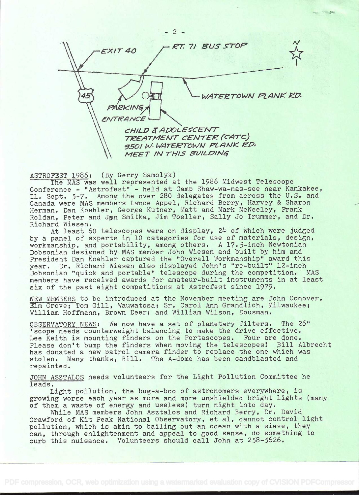

ASTROFEST 1986: (By Gerry Samolyk)

The MAS was well represented at the 1986 Midwest Telescope Conference - "Astrofest" - held at Camp Shaw-wa-nas-see near Kankakee, Il. Sept. 5-7. Among the over 280 delegates from across the U.S. and Canada were MAS members Lance Appel, Richard Berry, Harvey & Sharon Herman, Dan Koehier, George Kutner, Matt and Mark McNeeley, Frank Roldan, Peter and Jan Smitka, Jim Toeller, Sally Jo Trummer, and Dr. Richard Wiesen.

At least 60 telescopes were on display, 24 of which were judged by a panel of experts in 10 categories for use of materials, design, workmanship, and portability, among others. A 17.5-inch Newtonian Dobsonian designed by MAS member John Wiesen and built by him and President Dan Koehler captured the "Overall Workmanship" award this year. Dr. Richard Wiesen also displayed John's "re-built" 12-inch Dobsonian "quick and portable" telescope during the competition. MAS members have received awards for amateur-built instruments in at least six of the past eight competitions at Astrofest since 1979.

NEW MEMBERS to be introduced at the November meeting are John Conover, Elm Grove; Tom Gill, Wauwatosa; Sr. Carol Ann Grandlich, Milwaukee; William Hoffmann, Brown Deer; and William Wilson, Dousman.

OBSERVATORY NEWS: We now have a set of planetary filters. The 26" 'scope needs counterweight balancing to make the drive effective. Lee Keith is mounting finders on the Portascopes. Four are done. Please don't bump the finders when moving the telescopes! Bill Albrecht has donated a new patrol camera finder to replace the one which was stolen. Many thanks, Bill. The A-dome has been sandblasted and repainted.

JOHN ASZTALOS needs volunteers for the Light Pollution Committee he leads.

Light pollution, the bug-a-boo of astronomers everywhere, is growing worse each year as more and more unshielded bright lights (many of them a waste of energy and useless) turn night into day.

While MAS members John Asztalos and Richard Berry, Dr. David Crawford of Kit Peak National Observatory, et al, cannot control light pollution, which is akin to bailing out an ocean with a sieve, they can, through enlightenment and appeal to good sense, do something to curb this nuisance. Volunteers should call John at 258-5626.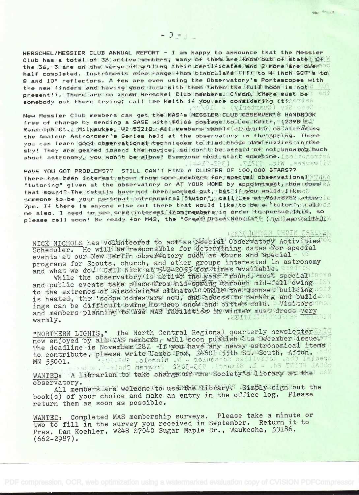HERSCHEL/MESSIER CLUB ANNUAL REPORT - I am happy to announce that the Messier Club has a total of 36 active members; many of them are from out of states of W the 36. 3 are on the vergeloflogetting their rertificates and 2 more are over half completed. Instruments esed rangesfrom binoculars (PD) to 4 inch sor's to 8 and 10" reflectors. A few are even using the Observatory's Portascopes with the new finders and having good tuck with them (when the full moon is not & AU present!). There are no known Herschel Club members. Cimon, there must be somebody out there trying; call Lee Keith if you are considering itenorial Deser Sky (Quarterly) = \$10/y

New Messier Club members can get the MAS's MESSIER CLUB MBSERVER'S HANDROOK free of charge by sending a SASE with \$0.66 postage to the Keith, \$4239B E.T Randolph Ct., Milwaukee, WI 321210611sMembers should (also plan) on attending the Amateur Astronomer's Series held at the observatory in the spring. There you can learn good observational techniques to find those dimifuzies in the sky! They are geared toward the movice, so don't be ateand of not know my much about astronomy, you wondt be alone! Everyone mustestant sometime. Iso imonotial Milwaukee. Wis. 53217. (352-7144).

HAVE YOU GOT PROBLEMS?? STILL CAN'T FIND A CLUSTER OF 100,000 STARS?? There has been interest shown from some members for special observational TTMAW "tutoring" given at the observatory or AT YOUR HOME by appointmentistion does an that sound? The details have not been wonked out, bat2if syon would tike o2 someone to be your personal astronomical twipr and illee at 261-8752 after in 7pm. If there is anyone else out there that would likesto be a "tuton"; yearlocs me also. I need to see some interestideom membersyin order to pursue this, so please call soon! Be ready for M42, the "Great DringsNebwEate (Byillege Keithu);

## EXERCIONYSE THOIM CHACKE

230 20 19

NICK NICHOLS has volunteered to act as Special Observatory Activities of Scheduler. He will be responsible for determining dates for special events at our New Berlin observatory such as tours and special programs for Scouts, church, and other groups interested in astronomy and what we dofucdall Nick at 1542-2055 critimes available. ared at While the observatory ts active the year round, most specialineve and public events take place from mid spring through mid-fall owing the to the extremes of Wisconsin's climato in while the quonset building noit is heated, the 'scope domes are not; and access to parking and build-

ings can be difficult owing its deep show and bitter cold. b Visitors inst. and members planning Mto Obse MAS Ifacilities in winter must dress very **CEITILISTERS RELEASES** warmly.

"NORTHERN LIGHTS," The North Central Regional quarterly newsletter now enjoyed by albamas members, will soon publish its December issue. The The deadline is November 128. - If you have any hewsy astronomical items to contribute, please write Uames Trox, 14601-355th 2500160, Afton, and WANTED: A librarian to take charge of the Society's library at the can observatory.

All members are welcome to use the Library. Simply sign out the book(s) of your choice and make an entry in the office log. Please return them as soon as possible.

WANTED: Completed MAS membership surveys. Please take a minute or two to fill in the survey you received in September. Return it to Pres. Dan Koehler, W248 S7040 Sugar Maple Dr., Waukesha, 53186.  $(662 - 2987)$ .